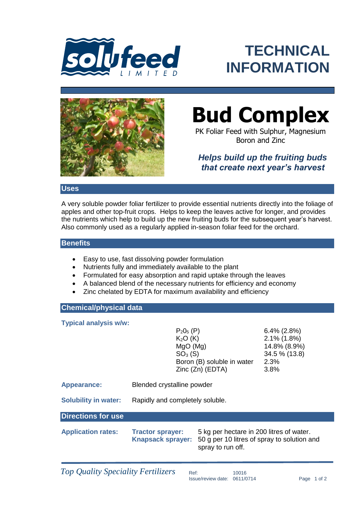

## **TECHNICAL INFORMATION**



# **Bud Complex**

PK Foliar Feed with Sulphur, Magnesium Boron and Zinc

### *Helps build up the fruiting buds that create next year's harvest*

Uses<br>
New soluble powder foliar fertilizer to provide essential nutrients<br>
apples and other top-fruit crops. Helps to keep the leaves active<br>
the nutrients which help to build up the new fruiting buds for the since<br>
Also c A very soluble powder foliar fertilizer to provide essential nutrients directly into the foliage of apples and other top-fruit crops. Helps to keep the leaves active for longer, and provides the nutrients which help to build up the new fruiting buds for the subsequent year's harvest. Also commonly used as a regularly applied in-season foliar feed for the orchard.

#### **Benefits**

- Easy to use, fast dissolving powder formulation
- Nutrients fully and immediately available to the plant
- Formulated for easy absorption and rapid uptake through the leaves
- A balanced blend of the necessary nutrients for efficiency and economy
- Zinc chelated by EDTA for maximum availability and efficiency

#### **Chemical/physical data**

**Typical analysis w/w:**

 $P_2O_5$  (P) 6.4% (2.8%)  $K<sub>2</sub>O (K)$  2.1% (1.8%) MgO (Mg) 14.8% (8.9%)  $SO<sub>3</sub> (S)$  34.5 % (13.8) Boron (B) soluble in water 2.3% Zinc (Zn) (EDTA) 3.8%

**Appearance:** Blended crystalline powder

**Solubility in water:** Rapidly and completely soluble.

#### **Directions for use**

**Application rates: Tractor sprayer:** 5 kg per hectare in 200 litres of water. **Knapsack sprayer:** 50 g per 10 litres of spray to solution and spray to run off.

*Top Quality Speciality Fertilizers* Ref:

Issue/review date: 0611/0714 Page 1 of 2 10016